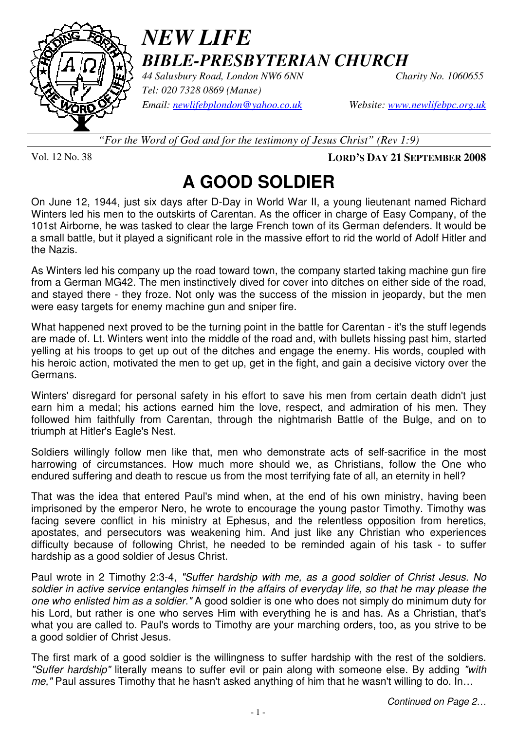

### *NEW LIFE BIBLE-PRESBYTERIAN CHURCH*

*44 Salusbury Road, London NW6 6NN Charity No. 1060655 Tel: 020 7328 0869 (Manse) Email: newlifebplondon@yahoo.co.uk Website: www.newlifebpc.org.uk*

*"For the Word of God and for the testimony of Jesus Christ" (Rev 1:9)*

Vol. 12 No. 38 **LORD'S DAY 21 SEPTEMBER 2008**

# **A GOOD SOLDIER**

On June 12, 1944, just six days after D-Day in World War II, a young lieutenant named Richard Winters led his men to the outskirts of Carentan. As the officer in charge of Easy Company, of the 101st Airborne, he was tasked to clear the large French town of its German defenders. It would be a small battle, but it played a significant role in the massive effort to rid the world of Adolf Hitler and the Nazis.

As Winters led his company up the road toward town, the company started taking machine gun fire from a German MG42. The men instinctively dived for cover into ditches on either side of the road, and stayed there - they froze. Not only was the success of the mission in jeopardy, but the men were easy targets for enemy machine gun and sniper fire.

What happened next proved to be the turning point in the battle for Carentan - it's the stuff legends are made of. Lt. Winters went into the middle of the road and, with bullets hissing past him, started yelling at his troops to get up out of the ditches and engage the enemy. His words, coupled with his heroic action, motivated the men to get up, get in the fight, and gain a decisive victory over the Germans.

Winters' disregard for personal safety in his effort to save his men from certain death didn't just earn him a medal; his actions earned him the love, respect, and admiration of his men. They followed him faithfully from Carentan, through the nightmarish Battle of the Bulge, and on to triumph at Hitler's Eagle's Nest.

Soldiers willingly follow men like that, men who demonstrate acts of self-sacrifice in the most harrowing of circumstances. How much more should we, as Christians, follow the One who endured suffering and death to rescue us from the most terrifying fate of all, an eternity in hell?

That was the idea that entered Paul's mind when, at the end of his own ministry, having been imprisoned by the emperor Nero, he wrote to encourage the young pastor Timothy. Timothy was facing severe conflict in his ministry at Ephesus, and the relentless opposition from heretics, apostates, and persecutors was weakening him. And just like any Christian who experiences difficulty because of following Christ, he needed to be reminded again of his task - to suffer hardship as a good soldier of Jesus Christ.

Paul wrote in 2 Timothy 2:3-4, "Suffer hardship with me, as a good soldier of Christ Jesus. No soldier in active service entangles himself in the affairs of everyday life, so that he may please the one who enlisted him as a soldier." A good soldier is one who does not simply do minimum duty for his Lord, but rather is one who serves Him with everything he is and has. As a Christian, that's what you are called to. Paul's words to Timothy are your marching orders, too, as you strive to be a good soldier of Christ Jesus.

The first mark of a good soldier is the willingness to suffer hardship with the rest of the soldiers. "Suffer hardship" literally means to suffer evil or pain along with someone else. By adding "with me," Paul assures Timothy that he hasn't asked anything of him that he wasn't willing to do. In...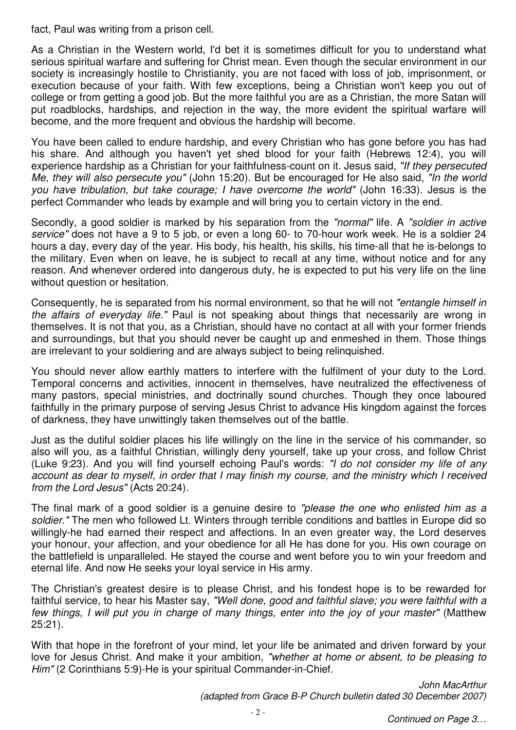fact, Paul was writing from a prison cell.

As a Christian in the Western world, I'd bet it is sometimes difficult for you to understand what serious spiritual warfare and suffering for Christ mean. Even though the secular environment in our society is increasingly hostile to Christianity, you are not faced with loss of job, imprisonment, or execution because of your faith. With few exceptions, being a Christian won't keep you out of college or from getting a good job. But the more faithful you are as a Christian, the more Satan will put roadblocks, hardships, and rejection in the way, the more evident the spiritual warfare will become, and the more frequent and obvious the hardship will become.

You have been called to endure hardship, and every Christian who has gone before you has had his share. And although you haven't yet shed blood for your faith (Hebrews 12:4), you will experience hardship as a Christian for your faithfulness-count on it. Jesus said, "If they persecuted Me, they will also persecute you" (John 15:20). But be encouraged for He also said, "In the world you have tribulation, but take courage; I have overcome the world" (John 16:33). Jesus is the perfect Commander who leads by example and will bring you to certain victory in the end.

Secondly, a good soldier is marked by his separation from the "normal" life. A "soldier in active service" does not have a 9 to 5 job, or even a long 60- to 70-hour work week. He is a soldier 24 hours a day, every day of the year. His body, his health, his skills, his time-all that he is-belongs to the military. Even when on leave, he is subject to recall at any time, without notice and for any reason. And whenever ordered into dangerous duty, he is expected to put his very life on the line without question or hesitation.

Consequently, he is separated from his normal environment, so that he will not "entangle himself in the affairs of everyday life." Paul is not speaking about things that necessarily are wrong in themselves. It is not that you, as a Christian, should have no contact at all with your former friends and surroundings, but that you should never be caught up and enmeshed in them. Those things are irrelevant to your soldiering and are always subject to being relinquished.

You should never allow earthly matters to interfere with the fulfilment of your duty to the Lord. Temporal concerns and activities, innocent in themselves, have neutralized the effectiveness of many pastors, special ministries, and doctrinally sound churches. Though they once laboured faithfully in the primary purpose of serving Jesus Christ to advance His kingdom against the forces of darkness, they have unwittingly taken themselves out of the battle.

Just as the dutiful soldier places his life willingly on the line in the service of his commander, so also will you, as a faithful Christian, willingly deny yourself, take up your cross, and follow Christ (Luke 9:23). And you will find yourself echoing Paul's words: "I do not consider my life of any account as dear to myself, in order that I may finish my course, and the ministry which I received from the Lord Jesus" (Acts 20:24).

The final mark of a good soldier is a genuine desire to "please the one who enlisted him as a soldier." The men who followed Lt. Winters through terrible conditions and battles in Europe did so willingly-he had earned their respect and affections. In an even greater way, the Lord deserves your honour, your affection, and your obedience for all He has done for you. His own courage on the battlefield is unparalleled. He stayed the course and went before you to win your freedom and eternal life. And now He seeks your loyal service in His army.

The Christian's greatest desire is to please Christ, and his fondest hope is to be rewarded for faithful service, to hear his Master say, "Well done, good and faithful slave; you were faithful with a few things, I will put you in charge of many things, enter into the joy of your master" (Matthew 25:21).

With that hope in the forefront of your mind, let your life be animated and driven forward by your love for Jesus Christ. And make it your ambition, "whether at home or absent, to be pleasing to Him" (2 Corinthians 5:9)-He is your spiritual Commander-in-Chief.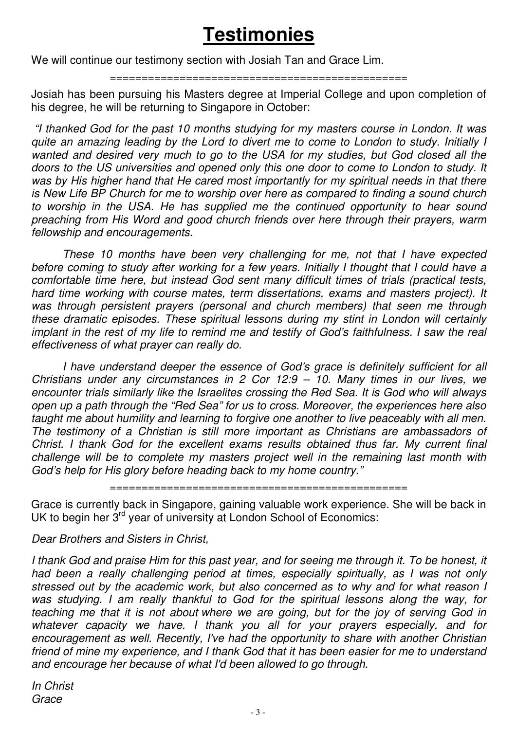## **Testimonies**

We will continue our testimony section with Josiah Tan and Grace Lim.

#### ===============================================

Josiah has been pursuing his Masters degree at Imperial College and upon completion of his degree, he will be returning to Singapore in October:

 "I thanked God for the past 10 months studying for my masters course in London. It was quite an amazing leading by the Lord to divert me to come to London to study. Initially I wanted and desired very much to go to the USA for my studies, but God closed all the doors to the US universities and opened only this one door to come to London to study. It was by His higher hand that He cared most importantly for my spiritual needs in that there is New Life BP Church for me to worship over here as compared to finding a sound church to worship in the USA. He has supplied me the continued opportunity to hear sound preaching from His Word and good church friends over here through their prayers, warm fellowship and encouragements.

 These 10 months have been very challenging for me, not that I have expected before coming to study after working for a few years. Initially I thought that I could have a comfortable time here, but instead God sent many difficult times of trials (practical tests, hard time working with course mates, term dissertations, exams and masters project). It was through persistent prayers (personal and church members) that seen me through these dramatic episodes. These spiritual lessons during my stint in London will certainly implant in the rest of my life to remind me and testify of God's faithfulness. I saw the real effectiveness of what prayer can really do.

 I have understand deeper the essence of God's grace is definitely sufficient for all Christians under any circumstances in 2 Cor 12:9 – 10. Many times in our lives, we encounter trials similarly like the Israelites crossing the Red Sea. It is God who will always open up a path through the "Red Sea" for us to cross. Moreover, the experiences here also taught me about humility and learning to forgive one another to live peaceably with all men. The testimony of a Christian is still more important as Christians are ambassadors of Christ. I thank God for the excellent exams results obtained thus far. My current final challenge will be to complete my masters project well in the remaining last month with God's help for His glory before heading back to my home country."

===============================================

Grace is currently back in Singapore, gaining valuable work experience. She will be back in UK to begin her 3<sup>rd</sup> year of university at London School of Economics:

### Dear Brothers and Sisters in Christ,

I thank God and praise Him for this past year, and for seeing me through it. To be honest, it had been a really challenging period at times, especially spiritually, as I was not only stressed out by the academic work, but also concerned as to why and for what reason I was studying. I am really thankful to God for the spiritual lessons along the way, for teaching me that it is not about where we are going, but for the joy of serving God in whatever capacity we have. I thank you all for your prayers especially, and for encouragement as well. Recently, I've had the opportunity to share with another Christian friend of mine my experience, and I thank God that it has been easier for me to understand and encourage her because of what I'd been allowed to go through.

In Christ **Grace**